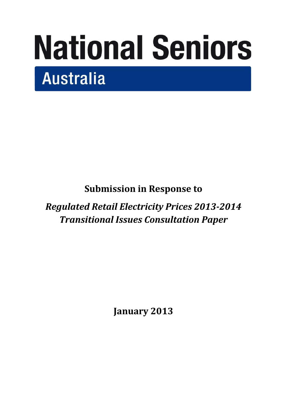# **National Seniors Australia**

**Submission in Response to** 

*Regulated Retail Electricity Prices 2013-2014 Transitional Issues Consultation Paper*

**January 2013**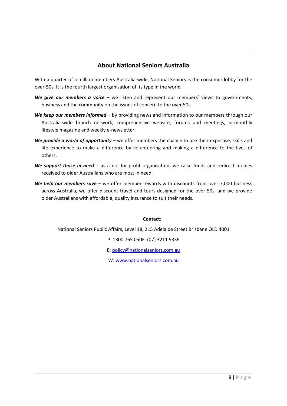# **About National Seniors Australia**

With a quarter of a million members Australia-wide, National Seniors is the consumer lobby for the over-50s. It is the fourth largest organisation of its type in the world.

- *We give our members a voice* we listen and represent our members' views to governments, business and the community on the issues of concern to the over 50s.
- *We keep our members informed* by providing news and information to our members through our Australia-wide branch network, comprehensive website, forums and meetings, bi-monthly lifestyle magazine and weekly e-newsletter.
- *We provide a world of opportunity* we offer members the chance to use their expertise, skills and life experience to make a difference by volunteering and making a difference to the lives of others.
- *We support those in need* as a not-for-profit organisation, we raise funds and redirect monies received to older Australians who are most in need.
- *We help our members save* we offer member rewards with discounts from over 7,000 business across Australia, we offer discount travel and tours designed for the over 50s, and we provide older Australians with affordable, quality insurance to suit their needs.

**Contact**:

National Seniors Public Affairs, Level 18, 215 Adelaide Street Brisbane QLD 4001

P: 1300 765 050F: (07) 3211 9339

E: [policy@nationalseniors.com.au](mailto:policy@nationalseniors.com.au)

W: [www.nationalseniors.com.au](http://www.nationalseniors.com.au/)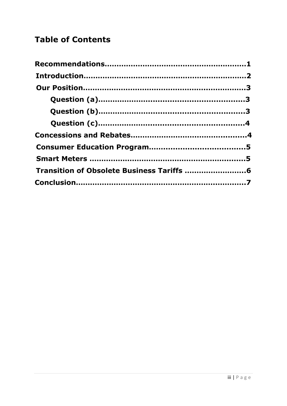# **Table of Contents**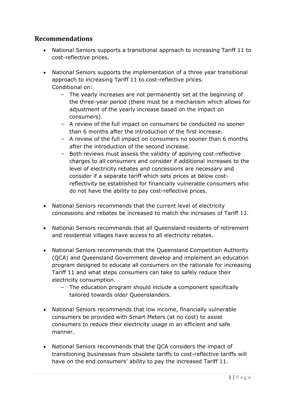# **Recommendations**

- National Seniors supports a transitional approach to increasing Tariff 11 to cost-reflective prices.
- National Seniors supports the implementation of a three year transitional approach to increasing Tariff 11 to cost-reflective prices. Conditional on:
	- *–* The yearly increases are not permanently set at the beginning of the three-year period (there must be a mechanism which allows for adjustment of the yearly increase based on the impact on consumers).
	- *–* A review of the full impact on consumers be conducted no sooner than 6 months after the introduction of the first increase.
	- *–* A review of the full impact on consumers no sooner than 6 months after the introduction of the second increase.
	- *–* Both reviews must assess the validity of applying cost-reflective charges to all consumers and consider if additional increases to the level of electricity rebates and concessions are necessary and consider if a separate tariff which sets prices at below costreflectivity be established for financially vulnerable consumers who do not have the ability to pay cost-reflective prices.
- National Seniors recommends that the current level of electricity concessions and rebates be increased to match the increases of Tariff 11.
- National Seniors recommends that all Queensland residents of retirement and residential villages have access to all electricity rebates.
- National Seniors recommends that the Queensland Competition Authority (QCA) and Queensland Government develop and implement an education program designed to educate all consumers on the rationale for increasing Tariff 11 and what steps consumers can take to safely reduce their electricity consumption.
	- *–* The education program should include a component specifically tailored towards older Queenslanders.
- National Seniors recommends that low income, financially vulnerable consumers be provided with Smart Meters (at no cost) to assist consumers to reduce their electricity usage in an efficient and safe manner.
- National Seniors recommends that the QCA considers the impact of transitioning businesses from obsolete tariffs to cost-reflective tariffs will have on the end consumers' ability to pay the increased Tariff 11.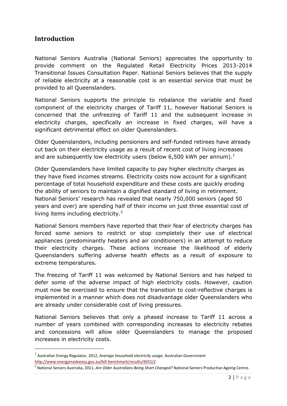# **Introduction**

**.** 

National Seniors Australia (National Seniors) appreciates the opportunity to provide comment on the Regulated Retail Electricity Prices 2013-2014 Transitional Issues Consultation Paper. National Seniors believes that the supply of reliable electricity at a reasonable cost is an essential service that must be provided to all Queenslanders.

National Seniors supports the principle to rebalance the variable and fixed component of the electricity charges of Tariff 11, however National Seniors is concerned that the unfreezing of Tariff 11 and the subsequent increase in electricity charges, specifically an increase in fixed charges, will have a significant detrimental effect on older Queenslanders.

Older Queenslanders, including pensioners and self-funded retirees have already cut back on their electricity usage as a result of recent cost of living increases and are subsequently low electricity users (below 6,500 kWh per annum).<sup>1</sup>

Older Queenslanders have limited capacity to pay higher electricity charges as they have fixed incomes streams. Electricity costs now account for a significant percentage of total household expenditure and these costs are quickly eroding the ability of seniors to maintain a dignified standard of living in retirement. National Seniors' research has revealed that nearly 750,000 seniors (aged 50 years and over) are spending half of their income on just three essential cost of living items including electricity.<sup>2</sup>

National Seniors members have reported that their fear of electricity charges has forced some seniors to restrict or stop completely their use of electrical appliances (predominantly heaters and air conditioners) in an attempt to reduce their electricity charges. These actions increase the likelihood of elderly Queenslanders suffering adverse health effects as a result of exposure to extreme temperatures.

The freezing of Tariff 11 was welcomed by National Seniors and has helped to defer some of the adverse impact of high electricity costs. However, caution must now be exercised to ensure that the transition to cost-reflective charges is implemented in a manner which does not disadvantage older Queenslanders who are already under considerable cost of living pressures.

National Seniors believes that only a phased increase to Tariff 11 across a number of years combined with corresponding increases to electricity rebates and concessions will allow older Queenslanders to manage the proposed increases in electricity costs.

<sup>1</sup> Australian Energy Regulator, 2012, *Average household electricity usage,* Australian Government <http://www.energymadeeasy.gov.au/bill-benchmark/results/4655/2>

<sup>2</sup> National Seniors Australia, 2011, *Are Older Australians Being Short Changed?* National Seniors Productive Ageing Centre.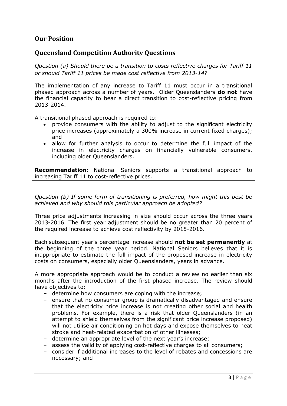# **Our Position**

### **Queensland Competition Authority Questions**

*Question (a) Should there be a transition to costs reflective charges for Tariff 11 or should Tariff 11 prices be made cost reflective from 2013-14?*

The implementation of any increase to Tariff 11 must occur in a transitional phased approach across a number of years. Older Queenslanders **do not** have the financial capacity to bear a direct transition to cost-reflective pricing from 2013-2014.

A transitional phased approach is required to:

- provide consumers with the ability to adjust to the significant electricity price increases (approximately a 300% increase in current fixed charges); and
- allow for further analysis to occur to determine the full impact of the increase in electricity charges on financially vulnerable consumers, including older Queenslanders.

**Recommendation:** National Seniors supports a transitional approach to increasing Tariff 11 to cost-reflective prices.

*Question (b) If some form of transitioning is preferred, how might this best be achieved and why should this particular approach be adopted?*

Three price adjustments increasing in size should occur across the three years 2013-2016. The first year adjustment should be no greater than 20 percent of the required increase to achieve cost reflectivity by 2015-2016.

Each subsequent year's percentage increase should **not be set permanently** at the beginning of the three year period. National Seniors believes that it is inappropriate to estimate the full impact of the proposed increase in electricity costs on consumers, especially older Queenslanders, years in advance.

A more appropriate approach would be to conduct a review no earlier than six months after the introduction of the first phased increase. The review should have objectives to:

- *–* determine how consumers are coping with the increase;
- *–* ensure that no consumer group is dramatically disadvantaged and ensure that the electricity price increase is not creating other social and health problems. For example, there is a risk that older Queenslanders (in an attempt to shield themselves from the significant price increase proposed) will not utilise air conditioning on hot days and expose themselves to heat stroke and heat-related exacerbation of other illnesses;
- *–* determine an appropriate level of the next year's increase;
- *–* assess the validity of applying cost-reflective charges to all consumers;
- *–* consider if additional increases to the level of rebates and concessions are necessary; and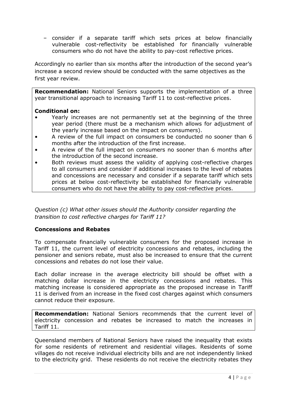*–* consider if a separate tariff which sets prices at below financially vulnerable cost-reflectivity be established for financially vulnerable consumers who do not have the ability to pay-cost reflective prices.

Accordingly no earlier than six months after the introduction of the second year's increase a second review should be conducted with the same objectives as the first year review.

**Recommendation:** National Seniors supports the implementation of a three year transitional approach to increasing Tariff 11 to cost-reflective prices.

#### **Conditional on:**

- Yearly increases are not permanently set at the beginning of the three year period (there must be a mechanism which allows for adjustment of the yearly increase based on the impact on consumers).
- A review of the full impact on consumers be conducted no sooner than 6 months after the introduction of the first increase.
- A review of the full impact on consumers no sooner than 6 months after the introduction of the second increase.
- Both reviews must assess the validity of applying cost-reflective charges to all consumers and consider if additional increases to the level of rebates and concessions are necessary and consider if a separate tariff which sets prices at below cost-reflectivity be established for financially vulnerable consumers who do not have the ability to pay cost-reflective prices.

#### *Question (c) What other issues should the Authority consider regarding the transition to cost reflective charges for Tariff 11?*

#### **Concessions and Rebates**

To compensate financially vulnerable consumers for the proposed increase in Tariff 11, the current level of electricity concessions and rebates, including the pensioner and seniors rebate, must also be increased to ensure that the current concessions and rebates do not lose their value.

Each dollar increase in the average electricity bill should be offset with a matching dollar increase in the electricity concessions and rebates. This matching increase is considered appropriate as the proposed increase in Tariff 11 is derived from an increase in the fixed cost charges against which consumers cannot reduce their exposure.

**Recommendation:** National Seniors recommends that the current level of electricity concession and rebates be increased to match the increases in Tariff 11.

Queensland members of National Seniors have raised the inequality that exists for some residents of retirement and residential villages. Residents of some villages do not receive individual electricity bills and are not independently linked to the electricity grid. These residents do not receive the electricity rebates they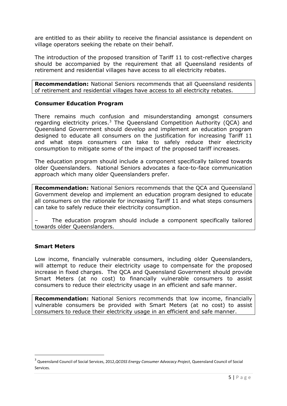are entitled to as their ability to receive the financial assistance is dependent on village operators seeking the rebate on their behalf.

The introduction of the proposed transition of Tariff 11 to cost-reflective charges should be accompanied by the requirement that all Queensland residents of retirement and residential villages have access to all electricity rebates.

**Recommendation:** National Seniors recommends that all Queensland residents of retirement and residential villages have access to all electricity rebates.

#### **Consumer Education Program**

There remains much confusion and misunderstanding amongst consumers regarding electricity prices. $3$  The Queensland Competition Authority (QCA) and Queensland Government should develop and implement an education program designed to educate all consumers on the justification for increasing Tariff 11 and what steps consumers can take to safely reduce their electricity consumption to mitigate some of the impact of the proposed tariff increases.

The education program should include a component specifically tailored towards older Queenslanders. National Seniors advocates a face-to-face communication approach which many older Queenslanders prefer.

**Recommendation:** National Seniors recommends that the QCA and Queensland Government develop and implement an education program designed to educate all consumers on the rationale for increasing Tariff 11 and what steps consumers can take to safely reduce their electricity consumption.

– The education program should include a component specifically tailored towards older Queenslanders.

#### **Smart Meters**

1

Low income, financially vulnerable consumers, including older Queenslanders, will attempt to reduce their electricity usage to compensate for the proposed increase in fixed charges. The QCA and Queensland Government should provide Smart Meters (at no cost) to financially vulnerable consumers to assist consumers to reduce their electricity usage in an efficient and safe manner.

**Recommendation:** National Seniors recommends that low income, financially vulnerable consumers be provided with Smart Meters (at no cost) to assist consumers to reduce their electricity usage in an efficient and safe manner.

<sup>3</sup> Queensland Council of Social Services, 2012,*QCOSS Energy Consumer Advocacy Project*, Queensland Council of Social Services.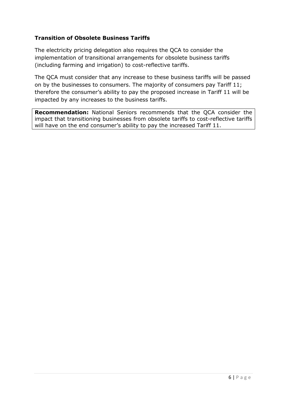#### **Transition of Obsolete Business Tariffs**

The electricity pricing delegation also requires the QCA to consider the implementation of transitional arrangements for obsolete business tariffs (including farming and irrigation) to cost-reflective tariffs.

The QCA must consider that any increase to these business tariffs will be passed on by the businesses to consumers. The majority of consumers pay Tariff 11; therefore the consumer's ability to pay the proposed increase in Tariff 11 will be impacted by any increases to the business tariffs.

**Recommendation:** National Seniors recommends that the QCA consider the impact that transitioning businesses from obsolete tariffs to cost-reflective tariffs will have on the end consumer's ability to pay the increased Tariff 11.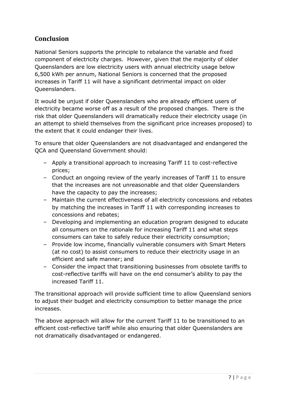# **Conclusion**

National Seniors supports the principle to rebalance the variable and fixed component of electricity charges. However, given that the majority of older Queenslanders are low electricity users with annual electricity usage below 6,500 kWh per annum, National Seniors is concerned that the proposed increases in Tariff 11 will have a significant detrimental impact on older Queenslanders.

It would be unjust if older Queenslanders who are already efficient users of electricity became worse off as a result of the proposed changes. There is the risk that older Queenslanders will dramatically reduce their electricity usage (in an attempt to shield themselves from the significant price increases proposed) to the extent that it could endanger their lives.

To ensure that older Queenslanders are not disadvantaged and endangered the QCA and Queensland Government should:

- *–* Apply a transitional approach to increasing Tariff 11 to cost-reflective prices;
- *–* Conduct an ongoing review of the yearly increases of Tariff 11 to ensure that the increases are not unreasonable and that older Queenslanders have the capacity to pay the increases;
- *–* Maintain the current effectiveness of all electricity concessions and rebates by matching the increases in Tariff 11 with corresponding increases to concessions and rebates;
- *–* Developing and implementing an education program designed to educate all consumers on the rationale for increasing Tariff 11 and what steps consumers can take to safely reduce their electricity consumption;
- *–* Provide low income, financially vulnerable consumers with Smart Meters (at no cost) to assist consumers to reduce their electricity usage in an efficient and safe manner; and
- *–* Consider the impact that transitioning businesses from obsolete tariffs to cost-reflective tariffs will have on the end consumer's ability to pay the increased Tariff 11.

The transitional approach will provide sufficient time to allow Queensland seniors to adjust their budget and electricity consumption to better manage the price increases.

The above approach will allow for the current Tariff 11 to be transitioned to an efficient cost-reflective tariff while also ensuring that older Queenslanders are not dramatically disadvantaged or endangered.